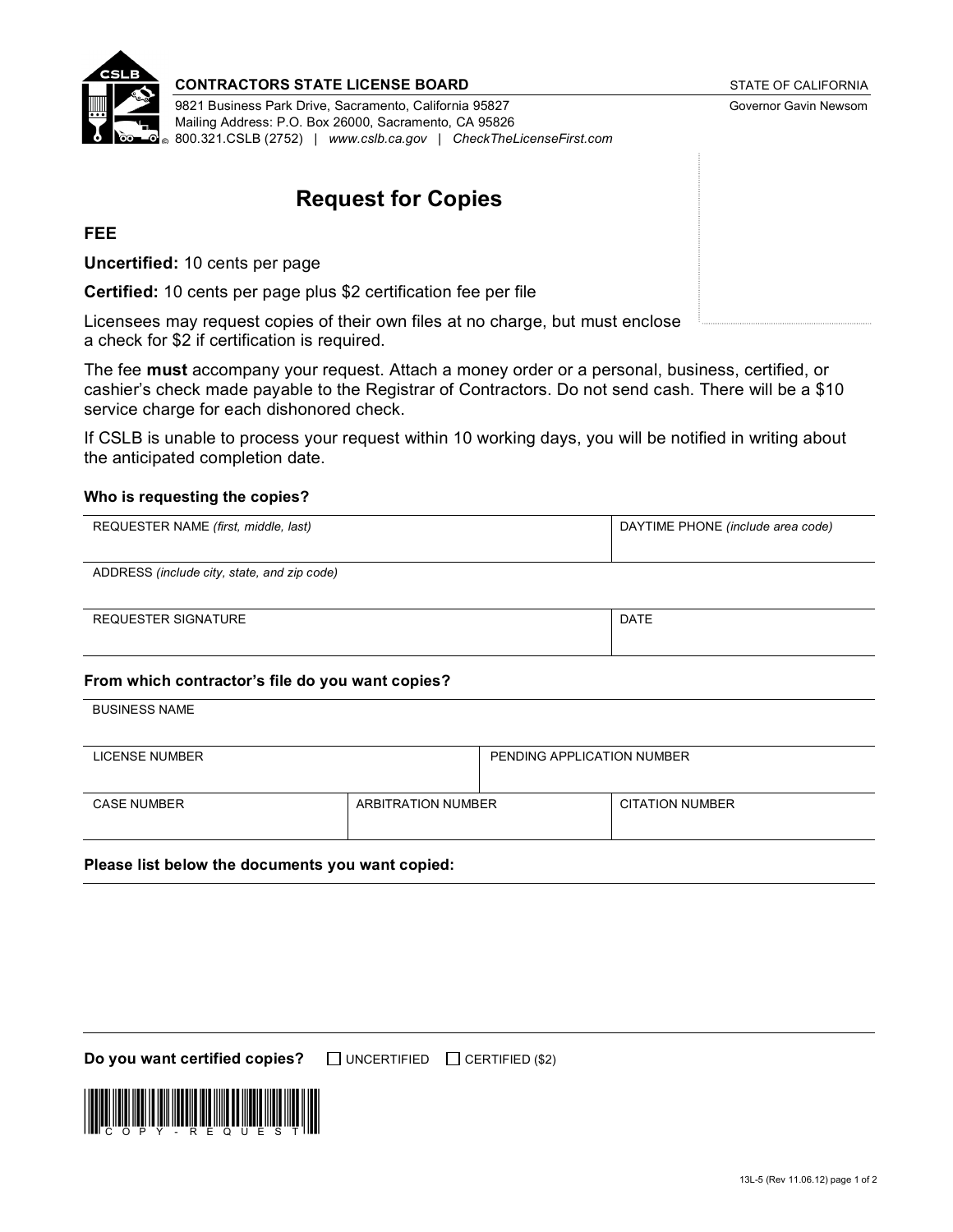

#### **CONTRACTORS STATE LICENSE BOARD** STATE OF CALIFORNIA

9821 Business Park Drive, Sacramento, California 95827 Governor Gavin Newsom Mailing Address: P.O. Box 26000, Sacramento, CA 95826 800.321.CSLB (2752) | *[www.cslb.ca.gov](http://www.cslb.ca.gov) | [CheckTheLicenseFirst.com](http://CheckTheLicenseFirst.com)*

# **Request for Copies**

### **FEE**

**Uncertified:** 10 cents per page

**Certified:** 10 cents per page plus \$2 certification fee per file

Licensees may request copies of their own files at no charge, but must enclose a check for \$2 if certification is required.

The fee **must** accompany your request. Attach a money order or a personal, business, certified, or cashier's check made payable to the Registrar of Contractors. Do not send cash. There will be a \$10 service charge for each dishonored check.

If CSLB is unable to process your request within 10 working days, you will be notified in writing about the anticipated completion date.

#### **Who is requesting the copies?**

| REQUESTER NAME (first, middle, last)        | DAYTIME PHONE (include area code) |
|---------------------------------------------|-----------------------------------|
| ADDRESS (include city, state, and zip code) |                                   |

REQUESTER SIGNATURE **DATE DATE** 

#### **From which contractor's file do you want copies?**

BUSINESS NAME

| LICENSE NUMBER     |                    | PENDING APPLICATION NUMBER |                        |
|--------------------|--------------------|----------------------------|------------------------|
| <b>CASE NUMBER</b> | ARBITRATION NUMBER |                            | <b>CITATION NUMBER</b> |

#### **Please list below the documents you want copied:**

**Do you want certified copies?**  $\Box$  UNCERTIFIED  $\Box$  CERTIFIED (\$2)